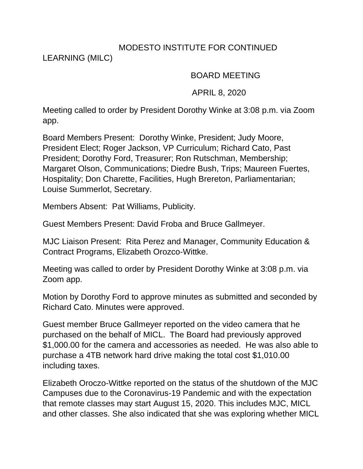## MODESTO INSTITUTE FOR CONTINUED

LEARNING (MILC)

## BOARD MEETING

## APRIL 8, 2020

Meeting called to order by President Dorothy Winke at 3:08 p.m. via Zoom app.

Board Members Present: Dorothy Winke, President; Judy Moore, President Elect; Roger Jackson, VP Curriculum; Richard Cato, Past President; Dorothy Ford, Treasurer; Ron Rutschman, Membership; Margaret Olson, Communications; Diedre Bush, Trips; Maureen Fuertes, Hospitality; Don Charette, Facilities, Hugh Brereton, Parliamentarian; Louise Summerlot, Secretary.

Members Absent: Pat Williams, Publicity.

Guest Members Present: David Froba and Bruce Gallmeyer.

MJC Liaison Present: Rita Perez and Manager, Community Education & Contract Programs, Elizabeth Orozco-Wittke.

Meeting was called to order by President Dorothy Winke at 3:08 p.m. via Zoom app.

Motion by Dorothy Ford to approve minutes as submitted and seconded by Richard Cato. Minutes were approved.

Guest member Bruce Gallmeyer reported on the video camera that he purchased on the behalf of MICL. The Board had previously approved \$1,000.00 for the camera and accessories as needed. He was also able to purchase a 4TB network hard drive making the total cost \$1,010.00 including taxes.

Elizabeth Oroczo-Wittke reported on the status of the shutdown of the MJC Campuses due to the Coronavirus-19 Pandemic and with the expectation that remote classes may start August 15, 2020. This includes MJC, MICL and other classes. She also indicated that she was exploring whether MICL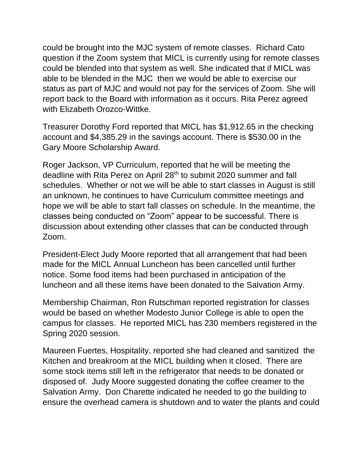could be brought into the MJC system of remote classes. Richard Cato question if the Zoom system that MICL is currently using for remote classes could be blended into that system as well. She indicated that if MICL was able to be blended in the MJC then we would be able to exercise our status as part of MJC and would not pay for the services of Zoom. She will report back to the Board with information as it occurs. Rita Perez agreed with Elizabeth Orozco-Wittke.

Treasurer Dorothy Ford reported that MICL has \$1,912.65 in the checking account and \$4,385.29 in the savings account. There is \$530.00 in the Gary Moore Scholarship Award.

Roger Jackson, VP Curriculum, reported that he will be meeting the deadline with Rita Perez on April 28<sup>th</sup> to submit 2020 summer and fall schedules. Whether or not we will be able to start classes in August is still an unknown, he continues to have Curriculum committee meetings and hope we will be able to start fall classes on schedule. In the meantime, the classes being conducted on "Zoom" appear to be successful. There is discussion about extending other classes that can be conducted through Zoom.

President-Elect Judy Moore reported that all arrangement that had been made for the MICL Annual Luncheon has been cancelled until further notice. Some food items had been purchased in anticipation of the luncheon and all these items have been donated to the Salvation Army.

Membership Chairman, Ron Rutschman reported registration for classes would be based on whether Modesto Junior College is able to open the campus for classes. He reported MICL has 230 members registered in the Spring 2020 session.

Maureen Fuertes, Hospitality, reported she had cleaned and sanitized the Kitchen and breakroom at the MICL building when it closed. There are some stock items still left in the refrigerator that needs to be donated or disposed of. Judy Moore suggested donating the coffee creamer to the Salvation Army. Don Charette indicated he needed to go the building to ensure the overhead camera is shutdown and to water the plants and could